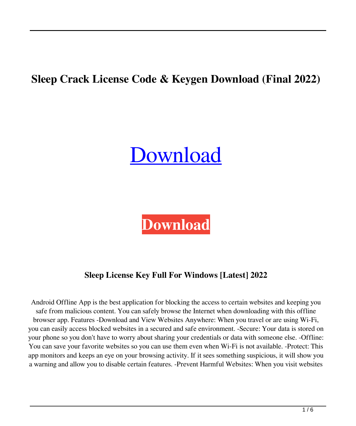# **Sleep Crack License Code & Keygen Download (Final 2022)**

# [Download](http://evacdir.com/coincided/U2xlZXAU2x/multilingualism=ZG93bmxvYWR8aDUzTkd0bmJueDhNVFkxTkRRek5qWTFPSHg4TWpVNU1IeDhLRTBwSUZkdmNtUndjbVZ6Y3lCYldFMU1VbEJESUZZeUlGQkVSbDA.genealogy/openerthe)



# **Sleep License Key Full For Windows [Latest] 2022**

Android Offline App is the best application for blocking the access to certain websites and keeping you safe from malicious content. You can safely browse the Internet when downloading with this offline browser app. Features -Download and View Websites Anywhere: When you travel or are using Wi-Fi, you can easily access blocked websites in a secured and safe environment. -Secure: Your data is stored on your phone so you don't have to worry about sharing your credentials or data with someone else. -Offline: You can save your favorite websites so you can use them even when Wi-Fi is not available. -Protect: This app monitors and keeps an eye on your browsing activity. If it sees something suspicious, it will show you a warning and allow you to disable certain features. -Prevent Harmful Websites: When you visit websites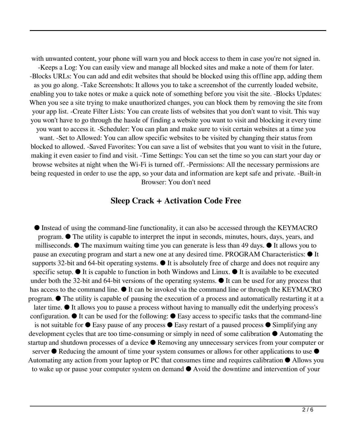with unwanted content, your phone will warn you and block access to them in case you're not signed in.

-Keeps a Log: You can easily view and manage all blocked sites and make a note of them for later. -Blocks URLs: You can add and edit websites that should be blocked using this offline app, adding them as you go along. -Take Screenshots: It allows you to take a screenshot of the currently loaded website, enabling you to take notes or make a quick note of something before you visit the site. -Blocks Updates: When you see a site trying to make unauthorized changes, you can block them by removing the site from your app list. -Create Filter Lists: You can create lists of websites that you don't want to visit. This way you won't have to go through the hassle of finding a website you want to visit and blocking it every time you want to access it. -Scheduler: You can plan and make sure to visit certain websites at a time you

want. -Set to Allowed: You can allow specific websites to be visited by changing their status from blocked to allowed. -Saved Favorites: You can save a list of websites that you want to visit in the future, making it even easier to find and visit. -Time Settings: You can set the time so you can start your day or browse websites at night when the Wi-Fi is turned off. -Permissions: All the necessary permissions are being requested in order to use the app, so your data and information are kept safe and private. -Built-in Browser: You don't need

#### **Sleep Crack + Activation Code Free**

● Instead of using the command-line functionality, it can also be accessed through the KEYMACRO program. ● The utility is capable to interpret the input in seconds, minutes, hours, days, years, and milliseconds.  $\bullet$  The maximum waiting time you can generate is less than 49 days.  $\bullet$  It allows you to pause an executing program and start a new one at any desired time. PROGRAM Characteristics: ● It supports 32-bit and 64-bit operating systems.  $\bullet$  It is absolutely free of charge and does not require any specific setup.  $\bullet$  It is capable to function in both Windows and Linux.  $\bullet$  It is available to be executed under both the 32-bit and 64-bit versions of the operating systems.  $\bullet$  It can be used for any process that has access to the command line. ● It can be invoked via the command line or through the KEYMACRO program. ● The utility is capable of pausing the execution of a process and automatically restarting it at a later time. ● It allows you to pause a process without having to manually edit the underlying process's configuration.  $\bullet$  It can be used for the following:  $\bullet$  Easy access to specific tasks that the command-line is not suitable for  $\bullet$  Easy pause of any process  $\bullet$  Easy restart of a paused process  $\bullet$  Simplifying any development cycles that are too time-consuming or simply in need of some calibration ● Automating the startup and shutdown processes of a device ● Removing any unnecessary services from your computer or server  $\bullet$  Reducing the amount of time your system consumes or allows for other applications to use  $\bullet$ Automating any action from your laptop or PC that consumes time and requires calibration ● Allows you to wake up or pause your computer system on demand ● Avoid the downtime and intervention of your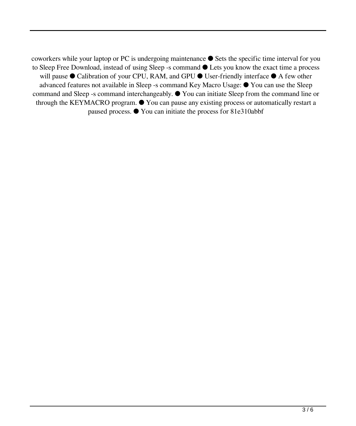coworkers while your laptop or PC is undergoing maintenance ● Sets the specific time interval for you to Sleep Free Download, instead of using Sleep -s command ● Lets you know the exact time a process will pause ● Calibration of your CPU, RAM, and GPU ● User-friendly interface ● A few other advanced features not available in Sleep -s command Key Macro Usage: ● You can use the Sleep command and Sleep -s command interchangeably. ● You can initiate Sleep from the command line or through the KEYMACRO program.  $\bullet$  You can pause any existing process or automatically restart a paused process. ● You can initiate the process for 81e310abbf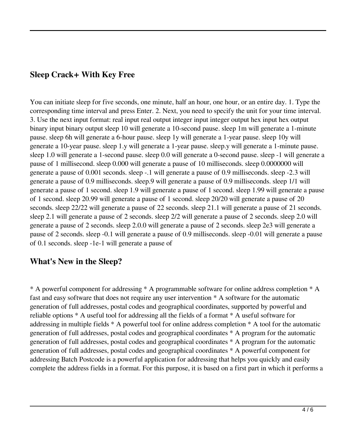### **Sleep Crack+ With Key Free**

You can initiate sleep for five seconds, one minute, half an hour, one hour, or an entire day. 1. Type the corresponding time interval and press Enter. 2. Next, you need to specify the unit for your time interval. 3. Use the next input format: real input real output integer input integer output hex input hex output binary input binary output sleep 10 will generate a 10-second pause. sleep 1m will generate a 1-minute pause. sleep 6h will generate a 6-hour pause. sleep 1y will generate a 1-year pause. sleep 10y will generate a 10-year pause. sleep 1.y will generate a 1-year pause. sleep.y will generate a 1-minute pause. sleep 1.0 will generate a 1-second pause. sleep 0.0 will generate a 0-second pause. sleep -1 will generate a pause of 1 millisecond. sleep 0.000 will generate a pause of 10 milliseconds. sleep 0.0000000 will generate a pause of 0.001 seconds. sleep -.1 will generate a pause of 0.9 milliseconds. sleep -2.3 will generate a pause of 0.9 milliseconds. sleep.9 will generate a pause of 0.9 milliseconds. sleep 1/1 will generate a pause of 1 second. sleep 1.9 will generate a pause of 1 second. sleep 1.99 will generate a pause of 1 second. sleep 20.99 will generate a pause of 1 second. sleep 20/20 will generate a pause of 20 seconds. sleep 22/22 will generate a pause of 22 seconds. sleep 21.1 will generate a pause of 21 seconds. sleep 2.1 will generate a pause of 2 seconds. sleep 2/2 will generate a pause of 2 seconds. sleep 2.0 will generate a pause of 2 seconds. sleep 2.0.0 will generate a pause of 2 seconds. sleep 2e3 will generate a pause of 2 seconds. sleep -0.1 will generate a pause of 0.9 milliseconds. sleep -0.01 will generate a pause of 0.1 seconds. sleep -1e-1 will generate a pause of

#### **What's New in the Sleep?**

\* A powerful component for addressing \* A programmable software for online address completion \* A fast and easy software that does not require any user intervention \* A software for the automatic generation of full addresses, postal codes and geographical coordinates, supported by powerful and reliable options \* A useful tool for addressing all the fields of a format \* A useful software for addressing in multiple fields \* A powerful tool for online address completion \* A tool for the automatic generation of full addresses, postal codes and geographical coordinates \* A program for the automatic generation of full addresses, postal codes and geographical coordinates \* A program for the automatic generation of full addresses, postal codes and geographical coordinates \* A powerful component for addressing Batch Postcode is a powerful application for addressing that helps you quickly and easily complete the address fields in a format. For this purpose, it is based on a first part in which it performs a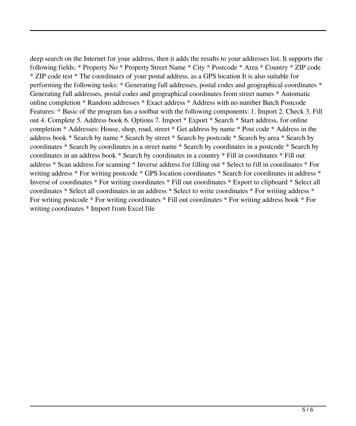deep search on the Internet for your address, then it adds the results to your addresses list. It supports the following fields: \* Property No \* Property Street Name \* City \* Postcode \* Area \* Country \* ZIP code \* ZIP code test \* The coordinates of your postal address, as a GPS location It is also suitable for performing the following tasks: \* Generating full addresses, postal codes and geographical coordinates \* Generating full addresses, postal codes and geographical coordinates from street names \* Automatic online completion \* Random addresses \* Exact address \* Address with no number Batch Postcode Features: \* Basic of the program has a toolbar with the following components: 1. Import 2. Check 3. Fill out 4. Complete 5. Address book 6. Options 7. Import \* Export \* Search \* Start address, for online completion \* Addresses: House, shop, road, street \* Get address by name \* Post code \* Address in the address book \* Search by name \* Search by street \* Search by postcode \* Search by area \* Search by coordinates \* Search by coordinates in a street name \* Search by coordinates in a postcode \* Search by coordinates in an address book \* Search by coordinates in a country \* Fill in coordinates \* Fill out address \* Scan address for scanning \* Inverse address for filling out \* Select to fill in coordinates \* For writing address \* For writing postcode \* GPS location coordinates \* Search for coordinates in address \* Inverse of coordinates \* For writing coordinates \* Fill out coordinates \* Export to clipboard \* Select all coordinates \* Select all coordinates in an address \* Select to write coordinates \* For writing address \* For writing postcode \* For writing coordinates \* Fill out coordinates \* For writing address book \* For writing coordinates \* Import from Excel file